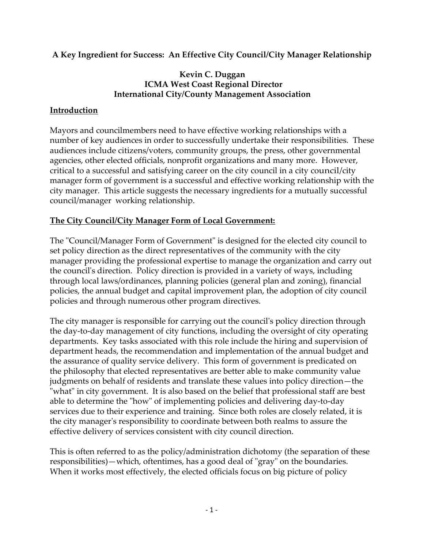# **A Key Ingredient for Success: An Effective City Council/City Manager Relationship**

## **Kevin C. Duggan ICMA West Coast Regional Director International City/County Management Association**

## **Introduction**

Mayors and councilmembers need to have effective working relationships with a number of key audiences in order to successfully undertake their responsibilities. These audiences include citizens/voters, community groups, the press, other governmental agencies, other elected officials, nonprofit organizations and many more. However, critical to a successful and satisfying career on the city council in a city council/city manager form of government is a successful and effective working relationship with the city manager. This article suggests the necessary ingredients for a mutually successful council/manager working relationship.

### **The City Council/City Manager Form of Local Government:**

The "Council/Manager Form of Government" is designed for the elected city council to set policy direction as the direct representatives of the community with the city manager providing the professional expertise to manage the organization and carry out the council's direction. Policy direction is provided in a variety of ways, including through local laws/ordinances, planning policies (general plan and zoning), financial policies, the annual budget and capital improvement plan, the adoption of city council policies and through numerous other program directives.

The city manager is responsible for carrying out the council's policy direction through the day-to-day management of city functions, including the oversight of city operating departments. Key tasks associated with this role include the hiring and supervision of department heads, the recommendation and implementation of the annual budget and the assurance of quality service delivery. This form of government is predicated on the philosophy that elected representatives are better able to make community value judgments on behalf of residents and translate these values into policy direction—the "what" in city government. It is also based on the belief that professional staff are best able to determine the "how" of implementing policies and delivering day-to-day services due to their experience and training. Since both roles are closely related, it is the city manager's responsibility to coordinate between both realms to assure the effective delivery of services consistent with city council direction.

This is often referred to as the policy/administration dichotomy (the separation of these responsibilities)—which, oftentimes, has a good deal of "gray" on the boundaries. When it works most effectively, the elected officials focus on big picture of policy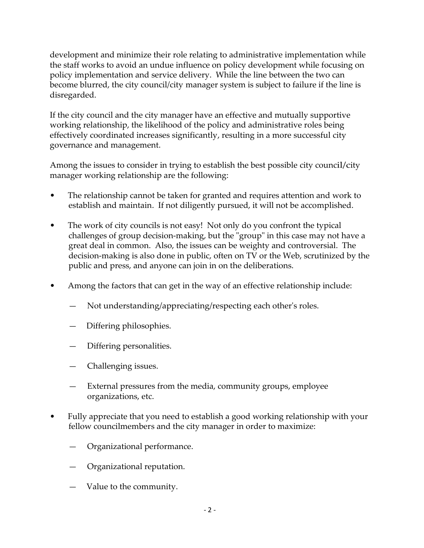development and minimize their role relating to administrative implementation while the staff works to avoid an undue influence on policy development while focusing on policy implementation and service delivery. While the line between the two can become blurred, the city council/city manager system is subject to failure if the line is disregarded.

If the city council and the city manager have an effective and mutually supportive working relationship, the likelihood of the policy and administrative roles being effectively coordinated increases significantly, resulting in a more successful city governance and management.

Among the issues to consider in trying to establish the best possible city council/city manager working relationship are the following:

- The relationship cannot be taken for granted and requires attention and work to establish and maintain. If not diligently pursued, it will not be accomplished.
- The work of city councils is not easy! Not only do you confront the typical challenges of group decision-making, but the "group" in this case may not have a great deal in common. Also, the issues can be weighty and controversial. The decision-making is also done in public, often on TV or the Web, scrutinized by the public and press, and anyone can join in on the deliberations.
- Among the factors that can get in the way of an effective relationship include:
	- Not understanding/appreciating/respecting each other's roles.
	- Differing philosophies.
	- Differing personalities.
	- Challenging issues.
	- External pressures from the media, community groups, employee organizations, etc.
- Fully appreciate that you need to establish a good working relationship with your fellow councilmembers and the city manager in order to maximize:
	- Organizational performance.
	- Organizational reputation.
	- Value to the community.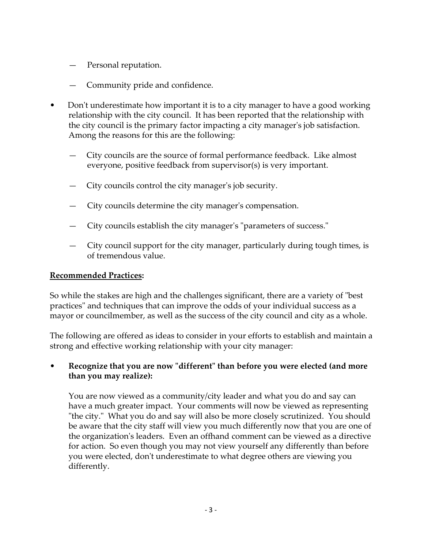- Personal reputation.
- Community pride and confidence.
- Don't underestimate how important it is to a city manager to have a good working relationship with the city council. It has been reported that the relationship with the city council is the primary factor impacting a city manager's job satisfaction. Among the reasons for this are the following:
	- City councils are the source of formal performance feedback. Like almost everyone, positive feedback from supervisor(s) is very important.
	- City councils control the city manager's job security.
	- City councils determine the city manager's compensation.
	- City councils establish the city manager's "parameters of success."
	- City council support for the city manager, particularly during tough times, is of tremendous value.

#### **Recommended Practices:**

So while the stakes are high and the challenges significant, there are a variety of "best practices" and techniques that can improve the odds of your individual success as a mayor or councilmember, as well as the success of the city council and city as a whole.

The following are offered as ideas to consider in your efforts to establish and maintain a strong and effective working relationship with your city manager:

### • **Recognize that you are now "different" than before you were elected (and more than you may realize):**

You are now viewed as a community/city leader and what you do and say can have a much greater impact. Your comments will now be viewed as representing "the city." What you do and say will also be more closely scrutinized. You should be aware that the city staff will view you much differently now that you are one of the organization's leaders. Even an offhand comment can be viewed as a directive for action. So even though you may not view yourself any differently than before you were elected, don't underestimate to what degree others are viewing you differently.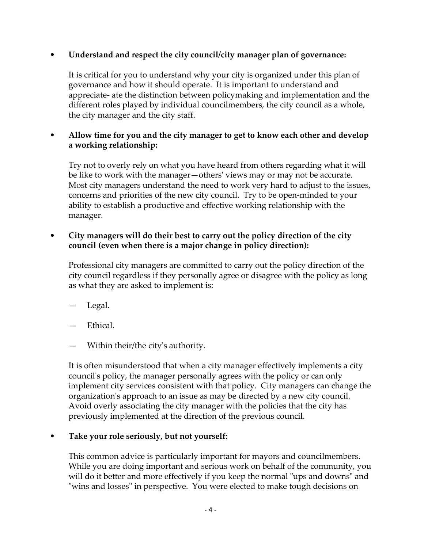# • **Understand and respect the city council/city manager plan of governance:**

It is critical for you to understand why your city is organized under this plan of governance and how it should operate. It is important to understand and appreciate- ate the distinction between policymaking and implementation and the different roles played by individual councilmembers, the city council as a whole, the city manager and the city staff.

# • **Allow time for you and the city manager to get to know each other and develop a working relationship:**

Try not to overly rely on what you have heard from others regarding what it will be like to work with the manager—others' views may or may not be accurate. Most city managers understand the need to work very hard to adjust to the issues, concerns and priorities of the new city council. Try to be open-minded to your ability to establish a productive and effective working relationship with the manager.

# • **City managers will do their best to carry out the policy direction of the city council (even when there is a major change in policy direction):**

Professional city managers are committed to carry out the policy direction of the city council regardless if they personally agree or disagree with the policy as long as what they are asked to implement is:

- Legal.
- Ethical.
- Within their/the city's authority.

It is often misunderstood that when a city manager effectively implements a city council's policy, the manager personally agrees with the policy or can only implement city services consistent with that policy. City managers can change the organization's approach to an issue as may be directed by a new city council. Avoid overly associating the city manager with the policies that the city has previously implemented at the direction of the previous council.

# • **Take your role seriously, but not yourself:**

This common advice is particularly important for mayors and councilmembers. While you are doing important and serious work on behalf of the community, you will do it better and more effectively if you keep the normal "ups and downs" and "wins and losses" in perspective. You were elected to make tough decisions on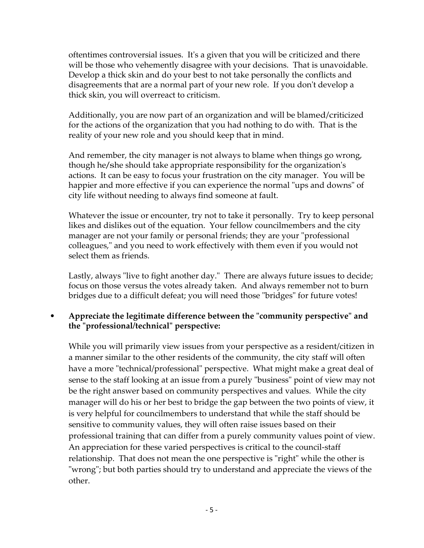oftentimes controversial issues. It's a given that you will be criticized and there will be those who vehemently disagree with your decisions. That is unavoidable. Develop a thick skin and do your best to not take personally the conflicts and disagreements that are a normal part of your new role. If you don't develop a thick skin, you will overreact to criticism.

Additionally, you are now part of an organization and will be blamed/criticized for the actions of the organization that you had nothing to do with. That is the reality of your new role and you should keep that in mind.

And remember, the city manager is not always to blame when things go wrong, though he/she should take appropriate responsibility for the organization's actions. It can be easy to focus your frustration on the city manager. You will be happier and more effective if you can experience the normal "ups and downs" of city life without needing to always find someone at fault.

Whatever the issue or encounter, try not to take it personally. Try to keep personal likes and dislikes out of the equation. Your fellow councilmembers and the city manager are not your family or personal friends; they are your "professional colleagues," and you need to work effectively with them even if you would not select them as friends.

Lastly, always "live to fight another day." There are always future issues to decide; focus on those versus the votes already taken. And always remember not to burn bridges due to a difficult defeat; you will need those "bridges" for future votes!

# • **Appreciate the legitimate difference between the "community perspective" and the "professional/technical" perspective:**

While you will primarily view issues from your perspective as a resident/citizen in a manner similar to the other residents of the community, the city staff will often have a more "technical/professional" perspective. What might make a great deal of sense to the staff looking at an issue from a purely "business" point of view may not be the right answer based on community perspectives and values. While the city manager will do his or her best to bridge the gap between the two points of view, it is very helpful for councilmembers to understand that while the staff should be sensitive to community values, they will often raise issues based on their professional training that can differ from a purely community values point of view. An appreciation for these varied perspectives is critical to the council-staff relationship. That does not mean the one perspective is "right" while the other is "wrong"; but both parties should try to understand and appreciate the views of the other.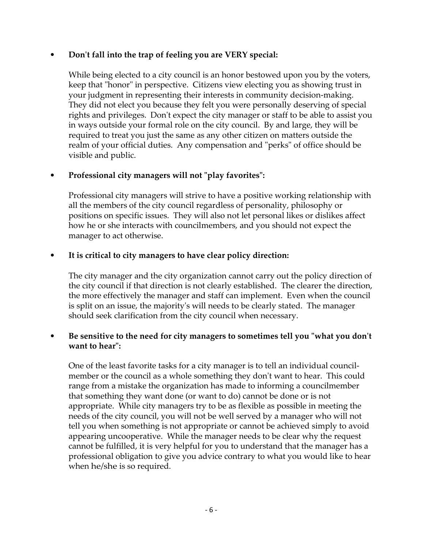# • **Don't fall into the trap of feeling you are VERY special:**

While being elected to a city council is an honor bestowed upon you by the voters, keep that "honor" in perspective. Citizens view electing you as showing trust in your judgment in representing their interests in community decision-making. They did not elect you because they felt you were personally deserving of special rights and privileges. Don't expect the city manager or staff to be able to assist you in ways outside your formal role on the city council. By and large, they will be required to treat you just the same as any other citizen on matters outside the realm of your official duties. Any compensation and "perks" of office should be visible and public.

# • **Professional city managers will not "play favorites":**

Professional city managers will strive to have a positive working relationship with all the members of the city council regardless of personality, philosophy or positions on specific issues. They will also not let personal likes or dislikes affect how he or she interacts with councilmembers, and you should not expect the manager to act otherwise.

### • **It is critical to city managers to have clear policy direction:**

The city manager and the city organization cannot carry out the policy direction of the city council if that direction is not clearly established. The clearer the direction, the more effectively the manager and staff can implement. Even when the council is split on an issue, the majority's will needs to be clearly stated. The manager should seek clarification from the city council when necessary.

### • **Be sensitive to the need for city managers to sometimes tell you "what you don't want to hear":**

One of the least favorite tasks for a city manager is to tell an individual councilmember or the council as a whole something they don't want to hear. This could range from a mistake the organization has made to informing a councilmember that something they want done (or want to do) cannot be done or is not appropriate. While city managers try to be as flexible as possible in meeting the needs of the city council, you will not be well served by a manager who will not tell you when something is not appropriate or cannot be achieved simply to avoid appearing uncooperative. While the manager needs to be clear why the request cannot be fulfilled, it is very helpful for you to understand that the manager has a professional obligation to give you advice contrary to what you would like to hear when he/she is so required.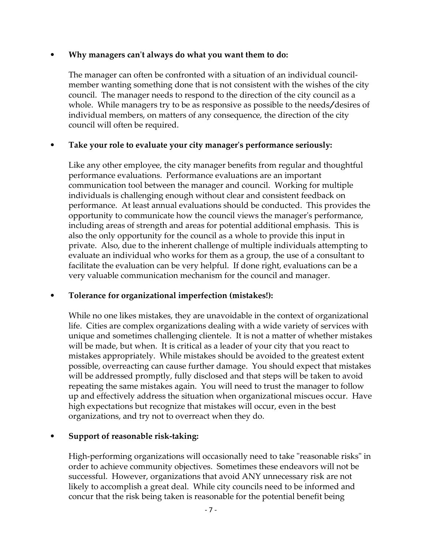#### • **Why managers can't always do what you want them to do:**

The manager can often be confronted with a situation of an individual councilmember wanting something done that is not consistent with the wishes of the city council. The manager needs to respond to the direction of the city council as a whole. While managers try to be as responsive as possible to the needs/desires of individual members, on matters of any consequence, the direction of the city council will often be required.

# • **Take your role to evaluate your city manager's performance seriously:**

Like any other employee, the city manager benefits from regular and thoughtful performance evaluations. Performance evaluations are an important communication tool between the manager and council. Working for multiple individuals is challenging enough without clear and consistent feedback on performance. At least annual evaluations should be conducted. This provides the opportunity to communicate how the council views the manager's performance, including areas of strength and areas for potential additional emphasis. This is also the only opportunity for the council as a whole to provide this input in private. Also, due to the inherent challenge of multiple individuals attempting to evaluate an individual who works for them as a group, the use of a consultant to facilitate the evaluation can be very helpful. If done right, evaluations can be a very valuable communication mechanism for the council and manager.

# • **Tolerance for organizational imperfection (mistakes!):**

While no one likes mistakes, they are unavoidable in the context of organizational life. Cities are complex organizations dealing with a wide variety of services with unique and sometimes challenging clientele. It is not a matter of whether mistakes will be made, but when. It is critical as a leader of your city that you react to mistakes appropriately. While mistakes should be avoided to the greatest extent possible, overreacting can cause further damage. You should expect that mistakes will be addressed promptly, fully disclosed and that steps will be taken to avoid repeating the same mistakes again. You will need to trust the manager to follow up and effectively address the situation when organizational miscues occur. Have high expectations but recognize that mistakes will occur, even in the best organizations, and try not to overreact when they do.

# • **Support of reasonable risk-taking:**

High-performing organizations will occasionally need to take "reasonable risks" in order to achieve community objectives. Sometimes these endeavors will not be successful. However, organizations that avoid ANY unnecessary risk are not likely to accomplish a great deal. While city councils need to be informed and concur that the risk being taken is reasonable for the potential benefit being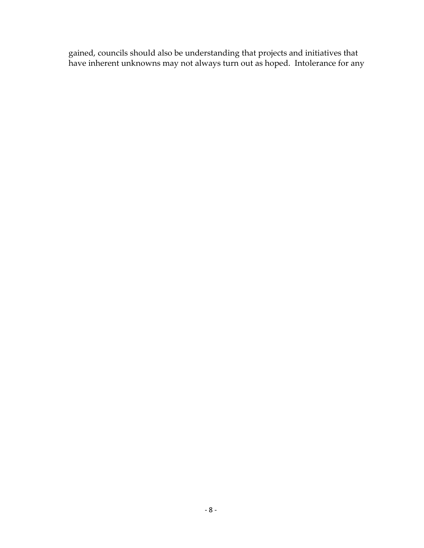gained, councils should also be understanding that projects and initiatives that have inherent unknowns may not always turn out as hoped. Intolerance for any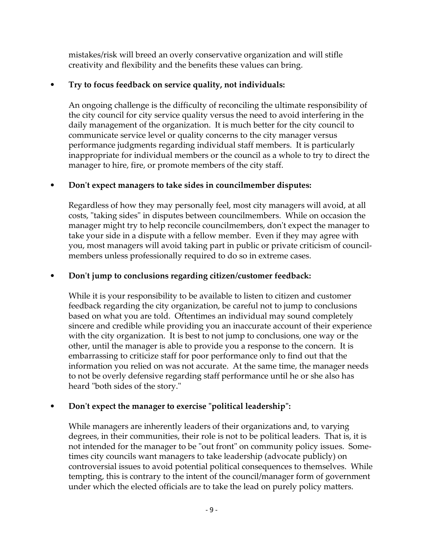mistakes/risk will breed an overly conservative organization and will stifle creativity and flexibility and the benefits these values can bring.

# • **Try to focus feedback on service quality, not individuals:**

An ongoing challenge is the difficulty of reconciling the ultimate responsibility of the city council for city service quality versus the need to avoid interfering in the daily management of the organization. It is much better for the city council to communicate service level or quality concerns to the city manager versus performance judgments regarding individual staff members. It is particularly inappropriate for individual members or the council as a whole to try to direct the manager to hire, fire, or promote members of the city staff.

# • **Don't expect managers to take sides in councilmember disputes:**

Regardless of how they may personally feel, most city managers will avoid, at all costs, "taking sides" in disputes between councilmembers. While on occasion the manager might try to help reconcile councilmembers, don't expect the manager to take your side in a dispute with a fellow member. Even if they may agree with you, most managers will avoid taking part in public or private criticism of councilmembers unless professionally required to do so in extreme cases.

# • **Don't jump to conclusions regarding citizen/customer feedback:**

While it is your responsibility to be available to listen to citizen and customer feedback regarding the city organization, be careful not to jump to conclusions based on what you are told. Oftentimes an individual may sound completely sincere and credible while providing you an inaccurate account of their experience with the city organization. It is best to not jump to conclusions, one way or the other, until the manager is able to provide you a response to the concern. It is embarrassing to criticize staff for poor performance only to find out that the information you relied on was not accurate. At the same time, the manager needs to not be overly defensive regarding staff performance until he or she also has heard "both sides of the story."

# • **Don't expect the manager to exercise "political leadership":**

While managers are inherently leaders of their organizations and, to varying degrees, in their communities, their role is not to be political leaders. That is, it is not intended for the manager to be "out front" on community policy issues. Sometimes city councils want managers to take leadership (advocate publicly) on controversial issues to avoid potential political consequences to themselves. While tempting, this is contrary to the intent of the council/manager form of government under which the elected officials are to take the lead on purely policy matters.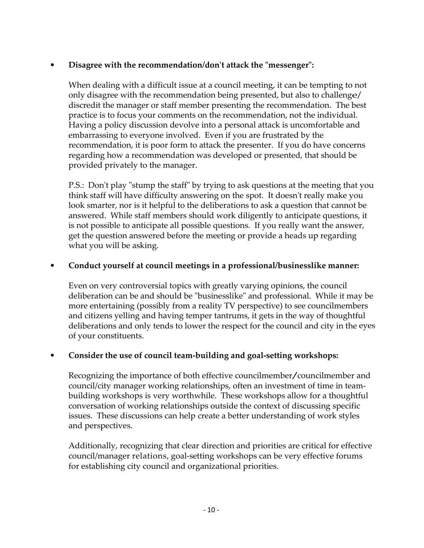# • **Disagree with the recommendation/don't attack the "messenger":**

When dealing with a difficult issue at a council meeting, it can be tempting to not only disagree with the recommendation being presented, but also to challenge/ discredit the manager or staff member presenting the recommendation. The best practice is to focus your comments on the recommendation, not the individual. Having a policy discussion devolve into a personal attack is uncomfortable and embarrassing to everyone involved. Even if you are frustrated by the recommendation, it is poor form to attack the presenter. If you do have concerns regarding how a recommendation was developed or presented, that should be provided privately to the manager.

P.S.: Don't play "stump the staff" by trying to ask questions at the meeting that you think staff will have difficulty answering on the spot. It doesn't really make you look smarter, nor is it helpful to the deliberations to ask a question that cannot be answered. While staff members should work diligently to anticipate questions, it is not possible to anticipate all possible questions. If you really want the answer, get the question answered before the meeting or provide a heads up regarding what you will be asking.

# • **Conduct yourself at council meetings in a professional/businesslike manner:**

Even on very controversial topics with greatly varying opinions, the council deliberation can be and should be "businesslike" and professional. While it may be more entertaining (possibly from a reality TV perspective) to see councilmembers and citizens yelling and having temper tantrums, it gets in the way of thoughtful deliberations and only tends to lower the respect for the council and city in the eyes of your constituents.

# • **Consider the use of council team-building and goal-setting workshops:**

Recognizing the importance of both effective councilmember/councilmember and council/city manager working relationships, often an investment of time in teambuilding workshops is very worthwhile. These workshops allow for a thoughtful conversation of working relationships outside the context of discussing specific issues. These discussions can help create a better understanding of work styles and perspectives.

Additionally, recognizing that clear direction and priorities are critical for effective council/manager relations, goal-setting workshops can be very effective forums for establishing city council and organizational priorities.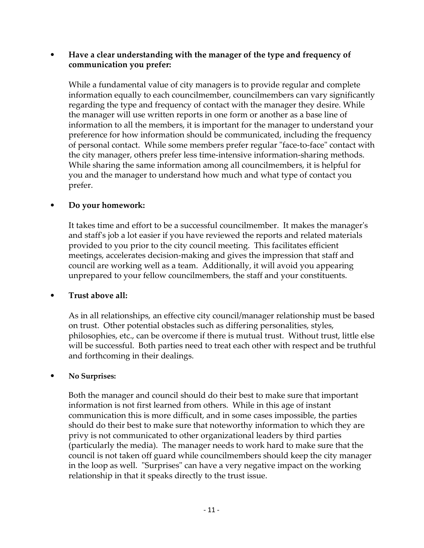## • **Have a clear understanding with the manager of the type and frequency of communication you prefer:**

While a fundamental value of city managers is to provide regular and complete information equally to each councilmember, councilmembers can vary significantly regarding the type and frequency of contact with the manager they desire. While the manager will use written reports in one form or another as a base line of information to all the members, it is important for the manager to understand your preference for how information should be communicated, including the frequency of personal contact. While some members prefer regular "face-to-face" contact with the city manager, others prefer less time-intensive information-sharing methods. While sharing the same information among all councilmembers, it is helpful for you and the manager to understand how much and what type of contact you prefer.

# • **Do your homework:**

It takes time and effort to be a successful councilmember. It makes the manager's and staff's job a lot easier if you have reviewed the reports and related materials provided to you prior to the city council meeting. This facilitates efficient meetings, accelerates decision-making and gives the impression that staff and council are working well as a team. Additionally, it will avoid you appearing unprepared to your fellow councilmembers, the staff and your constituents.

# • **Trust above all:**

As in all relationships, an effective city council/manager relationship must be based on trust. Other potential obstacles such as differing personalities, styles, philosophies, etc., can be overcome if there is mutual trust. Without trust, little else will be successful. Both parties need to treat each other with respect and be truthful and forthcoming in their dealings.

#### • **No Surprises:**

Both the manager and council should do their best to make sure that important information is not first learned from others. While in this age of instant communication this is more difficult, and in some cases impossible, the parties should do their best to make sure that noteworthy information to which they are privy is not communicated to other organizational leaders by third parties (particularly the media). The manager needs to work hard to make sure that the council is not taken off guard while councilmembers should keep the city manager in the loop as well. "Surprises" can have a very negative impact on the working relationship in that it speaks directly to the trust issue.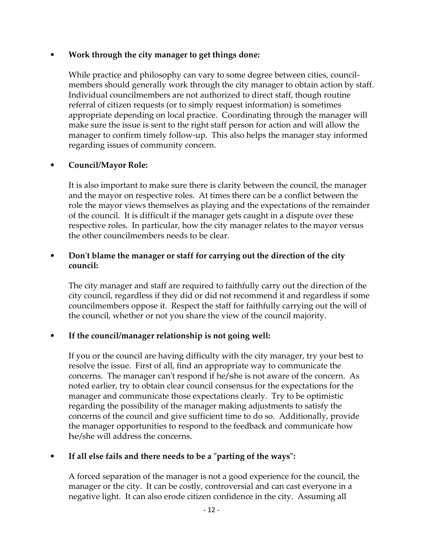## • **Work through the city manager to get things done:**

While practice and philosophy can vary to some degree between cities, councilmembers should generally work through the city manager to obtain action by staff. Individual councilmembers are not authorized to direct staff, though routine referral of citizen requests (or to simply request information) is sometimes appropriate depending on local practice. Coordinating through the manager will make sure the issue is sent to the right staff person for action and will allow the manager to confirm timely follow-up. This also helps the manager stay informed regarding issues of community concern.

# • **Council/Mayor Role:**

It is also important to make sure there is clarity between the council, the manager and the mayor on respective roles. At times there can be a conflict between the role the mayor views themselves as playing and the expectations of the remainder of the council. It is difficult if the manager gets caught in a dispute over these respective roles. In particular, how the city manager relates to the mayor versus the other councilmembers needs to be clear.

## • **Don't blame the manager or staff for carrying out the direction of the city council:**

The city manager and staff are required to faithfully carry out the direction of the city council, regardless if they did or did not recommend it and regardless if some councilmembers oppose it. Respect the staff for faithfully carrying out the will of the council, whether or not you share the view of the council majority.

# • **If the council/manager relationship is not going well:**

If you or the council are having difficulty with the city manager, try your best to resolve the issue. First of all, find an appropriate way to communicate the concerns. The manager can't respond if he/she is not aware of the concern. As noted earlier, try to obtain clear council consensus for the expectations for the manager and communicate those expectations clearly. Try to be optimistic regarding the possibility of the manager making adjustments to satisfy the concerns of the council and give sufficient time to do so. Additionally, provide the manager opportunities to respond to the feedback and communicate how he/she will address the concerns.

# • **If all else fails and there needs to be a "parting of the ways":**

A forced separation of the manager is not a good experience for the council, the manager or the city. It can be costly, controversial and can cast everyone in a negative light. It can also erode citizen confidence in the city. Assuming all